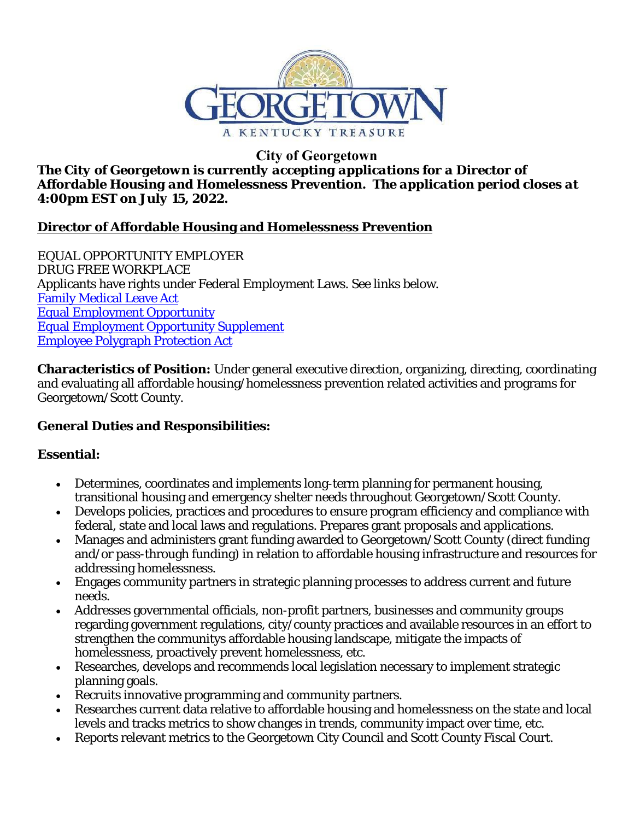

**City of Georgetown** 

*The City of Georgetown is currently accepting applications for a Director of Affordable Housing and Homelessness Prevention. The application period closes at 4:00pm EST on July 15, 2022.*

# **Director of Affordable Housing and Homelessness Prevention**

EQUAL OPPORTUNITY EMPLOYER DRUG FREE WORKPLACE Applicants have rights under Federal Employment Laws. See links below. Family Medical Leave Act Equal Employment Opportunity Equal Employment Opportunity Supplement Employee Polygraph Protection Act

**Characteristics of Position:** Under general executive direction, organizing, directing, coordinating and evaluating all affordable housing/homelessness prevention related activities and programs for Georgetown/Scott County.

# **General Duties and Responsibilities:**

# **Essential:**

- Determines, coordinates and implements long-term planning for permanent housing, transitional housing and emergency shelter needs throughout Georgetown/Scott County.
- Develops policies, practices and procedures to ensure program efficiency and compliance with federal, state and local laws and regulations. Prepares grant proposals and applications.
- Manages and administers grant funding awarded to Georgetown/Scott County (direct funding and/or pass-through funding) in relation to affordable housing infrastructure and resources for addressing homelessness.
- Engages community partners in strategic planning processes to address current and future needs.
- Addresses governmental officials, non-profit partners, businesses and community groups regarding government regulations, city/county practices and available resources in an effort to strengthen the communitys affordable housing landscape, mitigate the impacts of homelessness, proactively prevent homelessness, etc.
- Researches, develops and recommends local legislation necessary to implement strategic planning goals.
- Recruits innovative programming and community partners.
- Researches current data relative to affordable housing and homelessness on the state and local levels and tracks metrics to show changes in trends, community impact over time, etc.
- Reports relevant metrics to the Georgetown City Council and Scott County Fiscal Court.